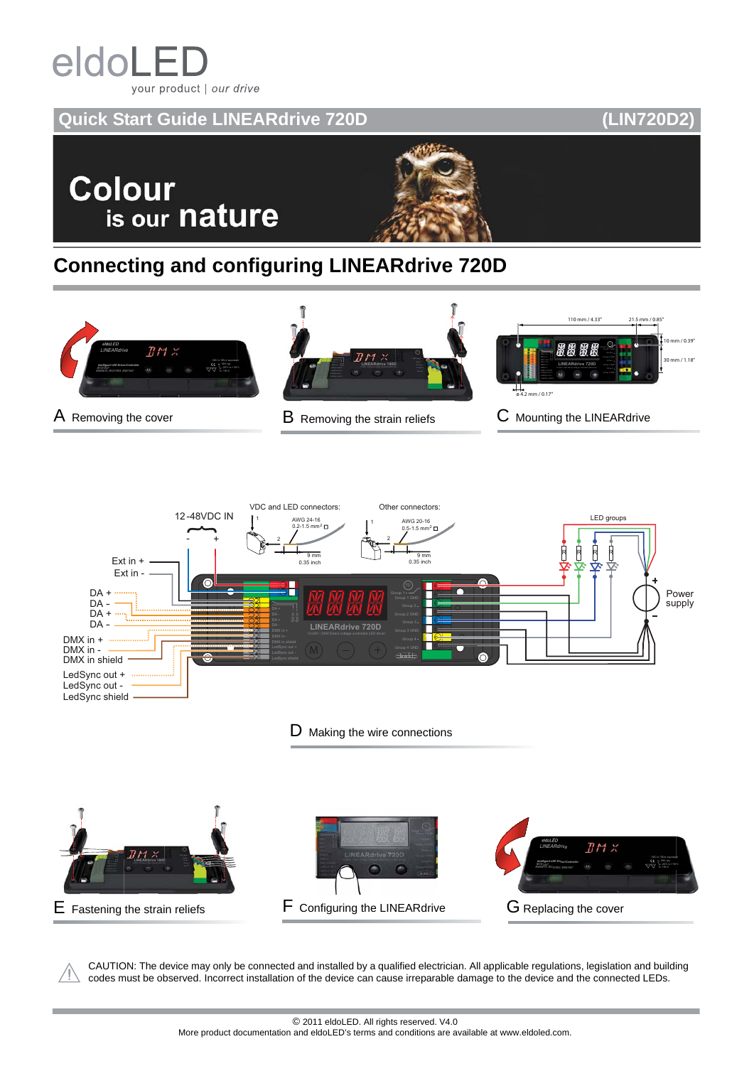# eldoLE your product | our drive

### **Quick Start Guide LINEARdrive 720D (LIN720D2)**

**Colour** is our nature



## **Connecting and configuring LINEARdrive 720D**







CAUTION: The device may only be connected and installed by a qualified electrician. All applicable regulations, legislation and building codes must be observed. Incorrect installation of the device can cause irreparable damage to the device and the connected LEDs.